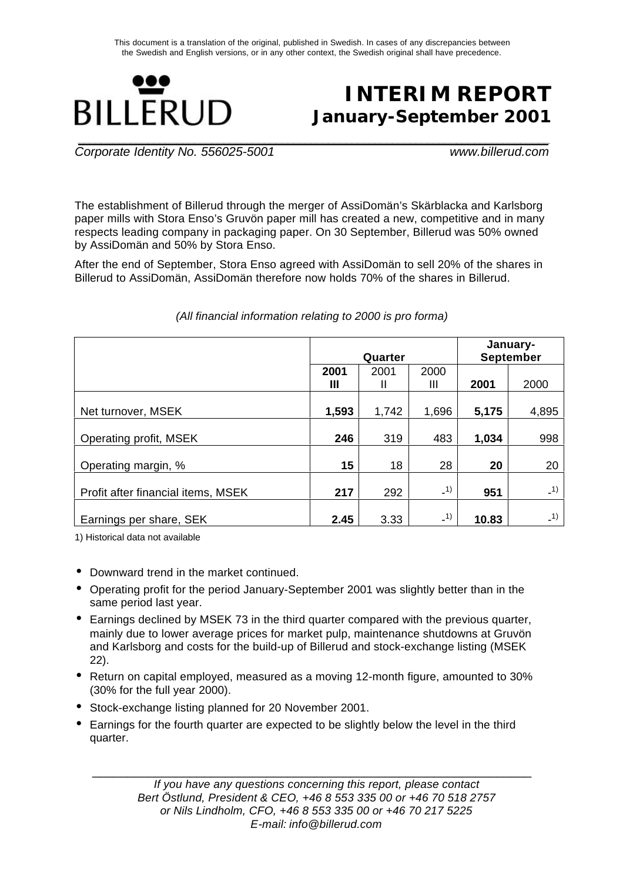

# **INTERIM REPORT January-September 2001**

*Corporate Identity No. 556025-5001 www.billerud.com*

The establishment of Billerud through the merger of AssiDomän's Skärblacka and Karlsborg paper mills with Stora Enso's Gruvön paper mill has created a new, competitive and in many respects leading company in packaging paper. On 30 September, Billerud was 50% owned by AssiDomän and 50% by Stora Enso.

After the end of September, Stora Enso agreed with AssiDomän to sell 20% of the shares in Billerud to AssiDomän, AssiDomän therefore now holds 70% of the shares in Billerud.

|                                    |       |         |       | January-         |       |  |
|------------------------------------|-------|---------|-------|------------------|-------|--|
|                                    |       | Quarter |       | <b>September</b> |       |  |
|                                    | 2001  | 2001    | 2000  |                  |       |  |
|                                    | Ш     | Ш       | Ш     | 2001             | 2000  |  |
|                                    |       |         |       |                  |       |  |
| Net turnover, MSEK                 | 1,593 | 1,742   | 1,696 | 5,175            | 4,895 |  |
|                                    |       |         |       |                  |       |  |
| Operating profit, MSEK             | 246   | 319     | 483   | 1,034            | 998   |  |
|                                    |       |         |       |                  |       |  |
| Operating margin, %                | 15    | 18      | 28    | 20               | 20    |  |
|                                    |       |         |       |                  |       |  |
| Profit after financial items, MSEK | 217   | 292     | $-1)$ | 951              | $-1)$ |  |
|                                    |       |         |       |                  |       |  |
| Earnings per share, SEK            | 2.45  | 3.33    | $-1)$ | 10.83            | $-1)$ |  |

### *(All financial information relating to 2000 is pro forma)*

1) Historical data not available

- Downward trend in the market continued.
- Operating profit for the period January-September 2001 was slightly better than in the same period last year.
- Earnings declined by MSEK 73 in the third quarter compared with the previous quarter, mainly due to lower average prices for market pulp, maintenance shutdowns at Gruvön and Karlsborg and costs for the build-up of Billerud and stock-exchange listing (MSEK 22).
- Return on capital employed, measured as a moving 12-month figure, amounted to 30% (30% for the full year 2000).
- Stock-exchange listing planned for 20 November 2001.
- Earnings for the fourth quarter are expected to be slightly below the level in the third quarter.

\_\_\_\_\_\_\_\_\_\_\_\_\_\_\_\_\_\_\_\_\_\_\_\_\_\_\_\_\_\_\_\_\_\_\_\_\_\_\_\_\_\_\_\_\_\_\_\_\_\_\_\_\_\_\_\_\_\_\_\_\_\_\_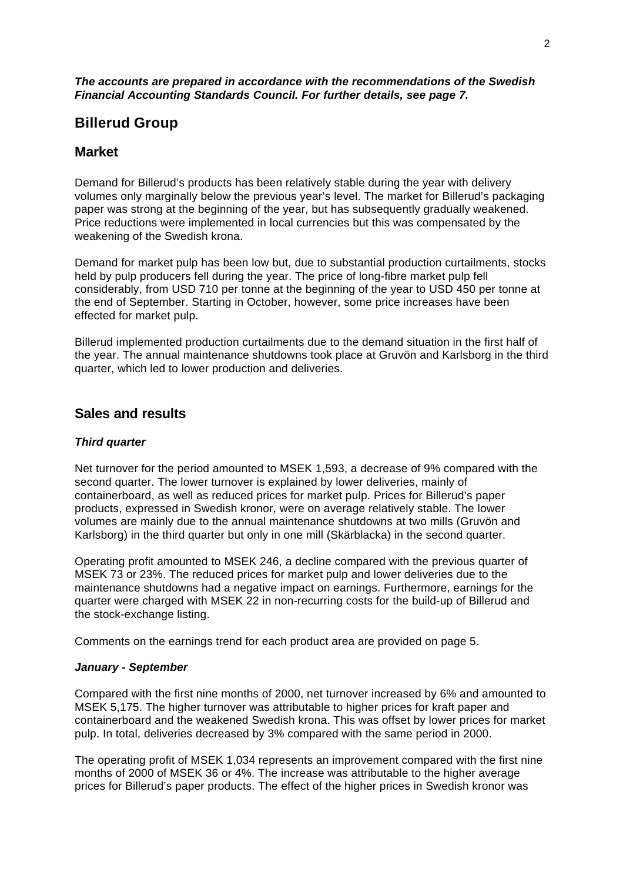# **Billerud Group**

# **Market**

Demand for Billerud's products has been relatively stable during the year with delivery volumes only marginally below the previous year's level. The market for Billerud's packaging paper was strong at the beginning of the year, but has subsequently gradually weakened. Price reductions were implemented in local currencies but this was compensated by the weakening of the Swedish krona.

Demand for market pulp has been low but, due to substantial production curtailments, stocks held by pulp producers fell during the year. The price of long-fibre market pulp fell considerably, from USD 710 per tonne at the beginning of the year to USD 450 per tonne at the end of September. Starting in October, however, some price increases have been effected for market pulp.

Billerud implemented production curtailments due to the demand situation in the first half of the year. The annual maintenance shutdowns took place at Gruvön and Karlsborg in the third quarter, which led to lower production and deliveries.

# **Sales and results**

## *Third quarter*

Net turnover for the period amounted to MSEK 1,593, a decrease of 9% compared with the second quarter. The lower turnover is explained by lower deliveries, mainly of containerboard, as well as reduced prices for market pulp. Prices for Billerud's paper products, expressed in Swedish kronor, were on average relatively stable. The lower volumes are mainly due to the annual maintenance shutdowns at two mills (Gruvön and Karlsborg) in the third quarter but only in one mill (Skärblacka) in the second quarter.

Operating profit amounted to MSEK 246, a decline compared with the previous quarter of MSEK 73 or 23%. The reduced prices for market pulp and lower deliveries due to the maintenance shutdowns had a negative impact on earnings. Furthermore, earnings for the quarter were charged with MSEK 22 in non-recurring costs for the build-up of Billerud and the stock-exchange listing.

Comments on the earnings trend for each product area are provided on page 5.

### *January - September*

Compared with the first nine months of 2000, net turnover increased by 6% and amounted to MSEK 5,175. The higher turnover was attributable to higher prices for kraft paper and containerboard and the weakened Swedish krona. This was offset by lower prices for market pulp. In total, deliveries decreased by 3% compared with the same period in 2000.

The operating profit of MSEK 1,034 represents an improvement compared with the first nine months of 2000 of MSEK 36 or 4%. The increase was attributable to the higher average prices for Billerud's paper products. The effect of the higher prices in Swedish kronor was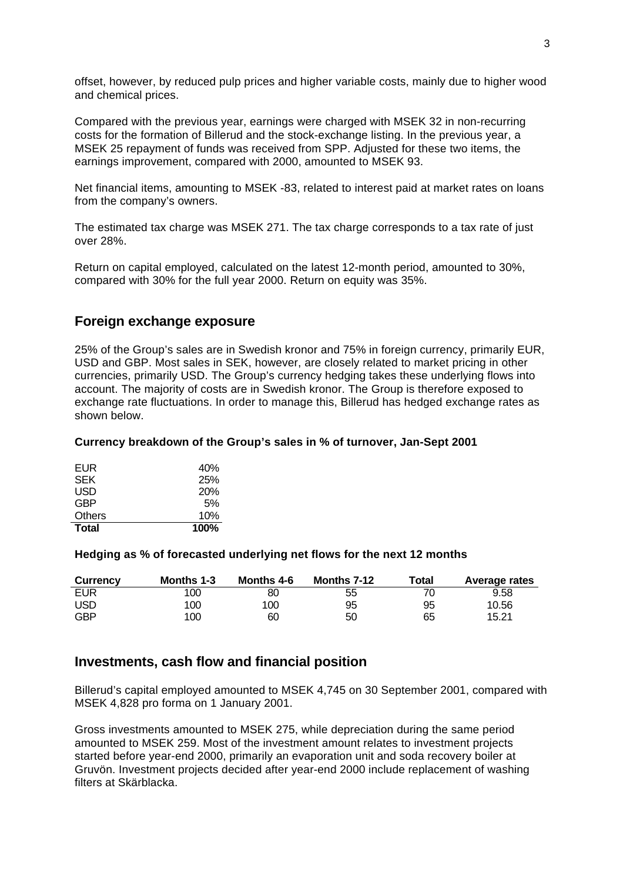offset, however, by reduced pulp prices and higher variable costs, mainly due to higher wood and chemical prices.

Compared with the previous year, earnings were charged with MSEK 32 in non-recurring costs for the formation of Billerud and the stock-exchange listing. In the previous year, a MSEK 25 repayment of funds was received from SPP. Adjusted for these two items, the earnings improvement, compared with 2000, amounted to MSEK 93.

Net financial items, amounting to MSEK -83, related to interest paid at market rates on loans from the company's owners.

The estimated tax charge was MSEK 271. The tax charge corresponds to a tax rate of just over 28%.

Return on capital employed, calculated on the latest 12-month period, amounted to 30%, compared with 30% for the full year 2000. Return on equity was 35%.

## **Foreign exchange exposure**

25% of the Group's sales are in Swedish kronor and 75% in foreign currency, primarily EUR, USD and GBP. Most sales in SEK, however, are closely related to market pricing in other currencies, primarily USD. The Group's currency hedging takes these underlying flows into account. The majority of costs are in Swedish kronor. The Group is therefore exposed to exchange rate fluctuations. In order to manage this, Billerud has hedged exchange rates as shown below.

### **Currency breakdown of the Group's sales in % of turnover, Jan-Sept 2001**

| <b>Total</b>  | 100% |
|---------------|------|
| <b>Others</b> | 10%  |
| <b>GBP</b>    | 5%   |
| USD           | 20%  |
| <b>SEK</b>    | 25%  |
| EUR           | 40%  |

#### **Hedging as % of forecasted underlying net flows for the next 12 months**

| Currency   | Months 1-3 | Months 4-6 | Months 7-12 | Total | <b>Average rates</b> |
|------------|------------|------------|-------------|-------|----------------------|
| <b>EUR</b> | 100        | 80         | 55          |       | 9.58                 |
| <b>USD</b> | 100        | 100        | 95          | 95    | 10.56                |
| <b>GBP</b> | 100        | 60         | 50          | 65    | 15.21                |

### **Investments, cash flow and financial position**

Billerud's capital employed amounted to MSEK 4,745 on 30 September 2001, compared with MSEK 4,828 pro forma on 1 January 2001.

Gross investments amounted to MSEK 275, while depreciation during the same period amounted to MSEK 259. Most of the investment amount relates to investment projects started before year-end 2000, primarily an evaporation unit and soda recovery boiler at Gruvön. Investment projects decided after year-end 2000 include replacement of washing filters at Skärblacka.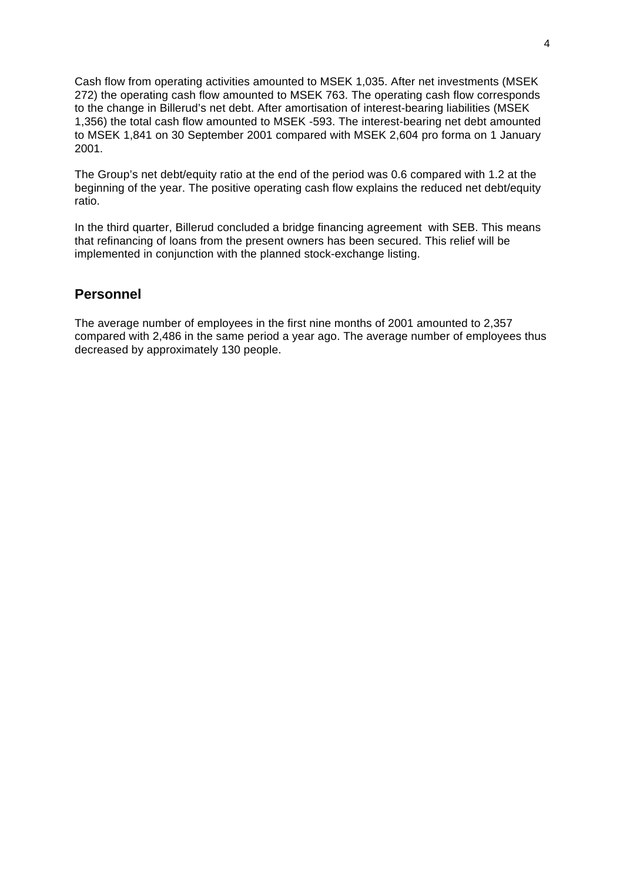Cash flow from operating activities amounted to MSEK 1,035. After net investments (MSEK 272) the operating cash flow amounted to MSEK 763. The operating cash flow corresponds to the change in Billerud's net debt. After amortisation of interest-bearing liabilities (MSEK 1,356) the total cash flow amounted to MSEK -593. The interest-bearing net debt amounted to MSEK 1,841 on 30 September 2001 compared with MSEK 2,604 pro forma on 1 January 2001.

The Group's net debt/equity ratio at the end of the period was 0.6 compared with 1.2 at the beginning of the year. The positive operating cash flow explains the reduced net debt/equity ratio.

In the third quarter, Billerud concluded a bridge financing agreement with SEB. This means that refinancing of loans from the present owners has been secured. This relief will be implemented in conjunction with the planned stock-exchange listing.

# **Personnel**

The average number of employees in the first nine months of 2001 amounted to 2,357 compared with 2,486 in the same period a year ago. The average number of employees thus decreased by approximately 130 people.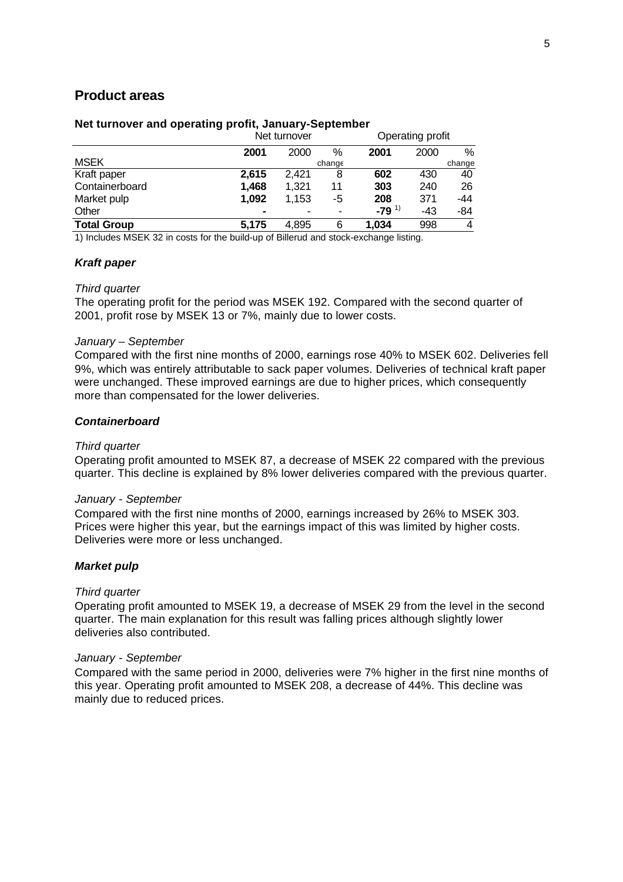## **Product areas**

#### **Net turnover and operating profit, January-September**

| 2001        |       |        |
|-------------|-------|--------|
|             | 2000  | $\%$   |
|             |       | change |
| 602         | 430   | 40     |
| 303         | 240   | 26     |
| 208         | 371   | -44    |
| 1)<br>$-79$ | $-43$ | -84    |
| 1.034       | 998   | 4      |
|             |       |        |

1) Includes MSEK 32 in costs for the build-up of Billerud and stock-exchange listing.

#### *Kraft paper*

#### *Third quarter*

The operating profit for the period was MSEK 192. Compared with the second quarter of 2001, profit rose by MSEK 13 or 7%, mainly due to lower costs.

#### *January – September*

Compared with the first nine months of 2000, earnings rose 40% to MSEK 602. Deliveries fell 9%, which was entirely attributable to sack paper volumes. Deliveries of technical kraft paper were unchanged. These improved earnings are due to higher prices, which consequently more than compensated for the lower deliveries.

### *Containerboard*

#### *Third quarter*

Operating profit amounted to MSEK 87, a decrease of MSEK 22 compared with the previous quarter. This decline is explained by 8% lower deliveries compared with the previous quarter.

#### *January - September*

Compared with the first nine months of 2000, earnings increased by 26% to MSEK 303. Prices were higher this year, but the earnings impact of this was limited by higher costs. Deliveries were more or less unchanged.

#### *Market pulp*

#### *Third quarter*

Operating profit amounted to MSEK 19, a decrease of MSEK 29 from the level in the second quarter. The main explanation for this result was falling prices although slightly lower deliveries also contributed.

#### *January - September*

Compared with the same period in 2000, deliveries were 7% higher in the first nine months of this year. Operating profit amounted to MSEK 208, a decrease of 44%. This decline was mainly due to reduced prices.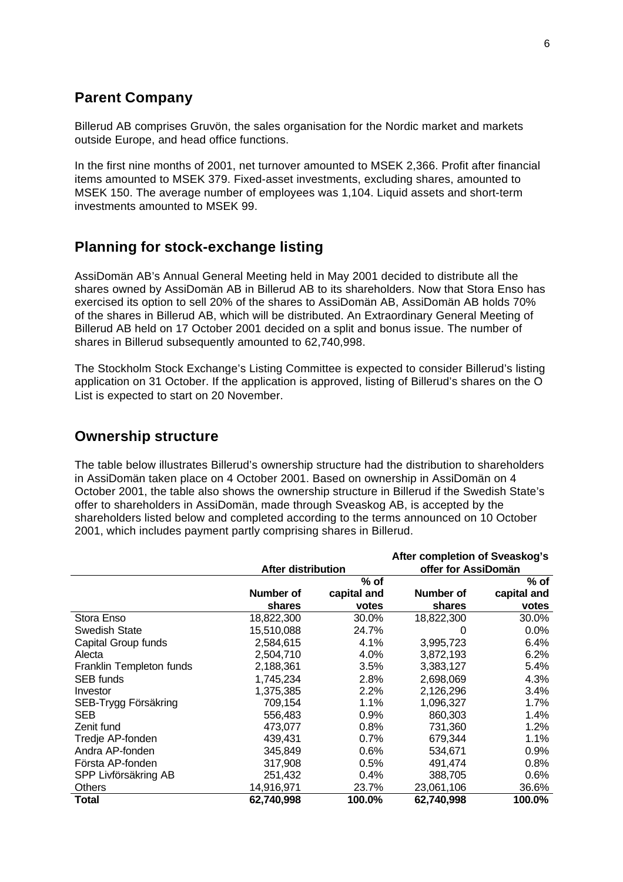# **Parent Company**

Billerud AB comprises Gruvön, the sales organisation for the Nordic market and markets outside Europe, and head office functions.

In the first nine months of 2001, net turnover amounted to MSEK 2,366. Profit after financial items amounted to MSEK 379. Fixed-asset investments, excluding shares, amounted to MSEK 150. The average number of employees was 1,104. Liquid assets and short-term investments amounted to MSEK 99.

# **Planning for stock-exchange listing**

AssiDomän AB's Annual General Meeting held in May 2001 decided to distribute all the shares owned by AssiDomän AB in Billerud AB to its shareholders. Now that Stora Enso has exercised its option to sell 20% of the shares to AssiDomän AB, AssiDomän AB holds 70% of the shares in Billerud AB, which will be distributed. An Extraordinary General Meeting of Billerud AB held on 17 October 2001 decided on a split and bonus issue. The number of shares in Billerud subsequently amounted to 62,740,998.

The Stockholm Stock Exchange's Listing Committee is expected to consider Billerud's listing application on 31 October. If the application is approved, listing of Billerud's shares on the O List is expected to start on 20 November.

## **Ownership structure**

The table below illustrates Billerud's ownership structure had the distribution to shareholders in AssiDomän taken place on 4 October 2001. Based on ownership in AssiDomän on 4 October 2001, the table also shows the ownership structure in Billerud if the Swedish State's offer to shareholders in AssiDomän, made through Sveaskog AB, is accepted by the shareholders listed below and completed according to the terms announced on 10 October 2001, which includes payment partly comprising shares in Billerud.

|                          |                    | After completion of Sveaskog's |                     |             |  |  |
|--------------------------|--------------------|--------------------------------|---------------------|-------------|--|--|
|                          | After distribution |                                | offer for AssiDomän |             |  |  |
|                          |                    | $%$ of                         |                     | $%$ of      |  |  |
|                          | Number of          | capital and                    | Number of           | capital and |  |  |
|                          | shares             | votes                          | shares              | votes       |  |  |
| Stora Enso               | 18,822,300         | 30.0%                          | 18,822,300          | 30.0%       |  |  |
| <b>Swedish State</b>     | 15,510,088         | 24.7%                          | 0                   | 0.0%        |  |  |
| Capital Group funds      | 2,584,615          | 4.1%                           | 3,995,723           | 6.4%        |  |  |
| Alecta                   | 2,504,710          | 4.0%                           | 3,872,193           | 6.2%        |  |  |
| Franklin Templeton funds | 2,188,361          | 3.5%                           | 3,383,127           | 5.4%        |  |  |
| <b>SEB</b> funds         | 1,745,234          | 2.8%                           | 2,698,069           | 4.3%        |  |  |
| Investor                 | 1,375,385          | 2.2%                           | 2,126,296           | 3.4%        |  |  |
| SEB-Trygg Försäkring     | 709,154            | $1.1\%$                        | 1,096,327           | $1.7\%$     |  |  |
| <b>SEB</b>               | 556,483            | 0.9%                           | 860,303             | 1.4%        |  |  |
| Zenit fund               | 473,077            | 0.8%                           | 731,360             | 1.2%        |  |  |
| Tredje AP-fonden         | 439,431            | 0.7%                           | 679,344             | 1.1%        |  |  |
| Andra AP-fonden          | 345,849            | 0.6%                           | 534,671             | $0.9\%$     |  |  |
| Första AP-fonden         | 317,908            | 0.5%                           | 491,474             | 0.8%        |  |  |
| SPP Livförsäkring AB     | 251,432            | 0.4%                           | 388,705             | $0.6\%$     |  |  |
| Others                   | 14,916,971         | 23.7%                          | 23,061,106          | 36.6%       |  |  |
| Total                    | 62,740,998         | 100.0%                         | 62,740,998          | 100.0%      |  |  |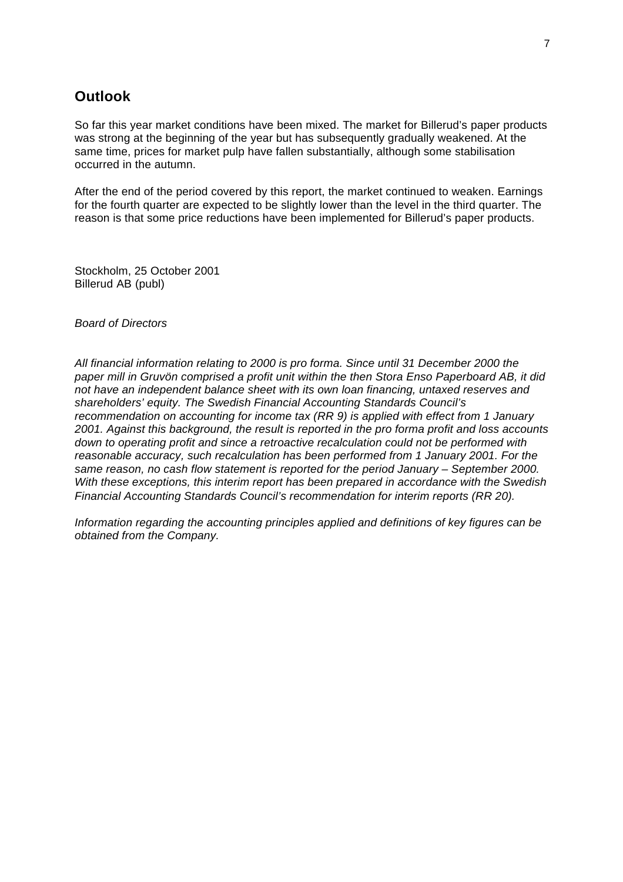# **Outlook**

So far this year market conditions have been mixed. The market for Billerud's paper products was strong at the beginning of the year but has subsequently gradually weakened. At the same time, prices for market pulp have fallen substantially, although some stabilisation occurred in the autumn.

After the end of the period covered by this report, the market continued to weaken. Earnings for the fourth quarter are expected to be slightly lower than the level in the third quarter. The reason is that some price reductions have been implemented for Billerud's paper products.

Stockholm, 25 October 2001 Billerud AB (publ)

*Board of Directors*

*All financial information relating to 2000 is pro forma. Since until 31 December 2000 the paper mill in Gruvön comprised a profit unit within the then Stora Enso Paperboard AB, it did not have an independent balance sheet with its own loan financing, untaxed reserves and shareholders' equity. The Swedish Financial Accounting Standards Council's recommendation on accounting for income tax (RR 9) is applied with effect from 1 January 2001. Against this background, the result is reported in the pro forma profit and loss accounts down to operating profit and since a retroactive recalculation could not be performed with reasonable accuracy, such recalculation has been performed from 1 January 2001. For the same reason, no cash flow statement is reported for the period January – September 2000. With these exceptions, this interim report has been prepared in accordance with the Swedish Financial Accounting Standards Council's recommendation for interim reports (RR 20).*

*Information regarding the accounting principles applied and definitions of key figures can be obtained from the Company.*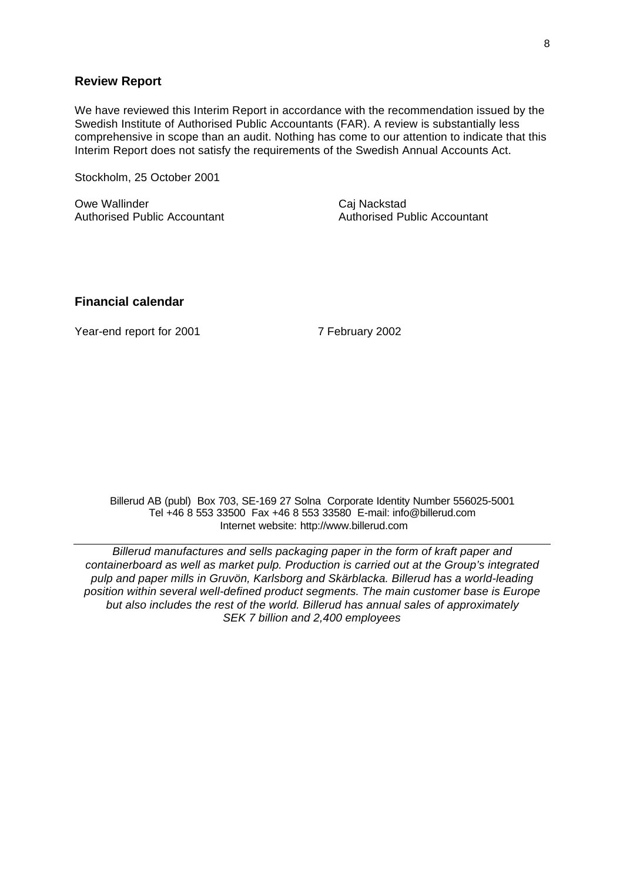### **Review Report**

We have reviewed this Interim Report in accordance with the recommendation issued by the Swedish Institute of Authorised Public Accountants (FAR). A review is substantially less comprehensive in scope than an audit. Nothing has come to our attention to indicate that this Interim Report does not satisfy the requirements of the Swedish Annual Accounts Act.

Stockholm, 25 October 2001

Owe Wallinder **Caj Nackstad** Authorised Public Accountant **Authorised Public Accountant** 

### **Financial calendar**

Year-end report for 2001 7 February 2002

Billerud AB (publ) Box 703, SE-169 27 Solna Corporate Identity Number 556025-5001 Tel +46 8 553 33500 Fax +46 8 553 33580 E-mail: info@billerud.com Internet website: http://www.billerud.com

*Billerud manufactures and sells packaging paper in the form of kraft paper and containerboard as well as market pulp. Production is carried out at the Group's integrated pulp and paper mills in Gruvön, Karlsborg and Skärblacka. Billerud has a world-leading position within several well-defined product segments. The main customer base is Europe but also includes the rest of the world. Billerud has annual sales of approximately SEK 7 billion and 2,400 employees*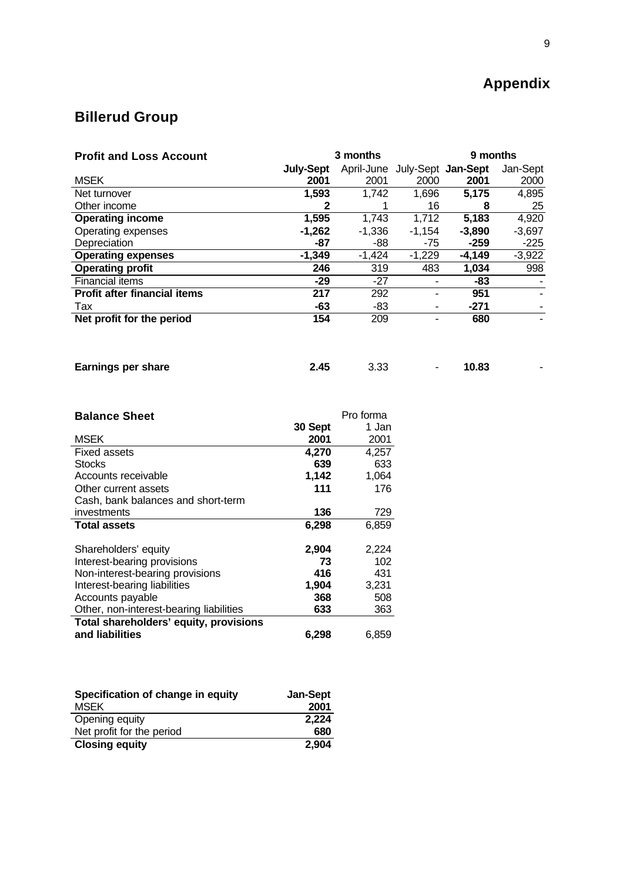# **Appendix**

# **Billerud Group**

| <b>Profit and Loss Account</b>      | 3 months         |            |                    | 9 months |          |
|-------------------------------------|------------------|------------|--------------------|----------|----------|
|                                     | <b>July-Sept</b> | April-June | July-Sept Jan-Sept |          | Jan-Sept |
| <b>MSEK</b>                         | 2001             | 2001       | 2000               | 2001     | 2000     |
| Net turnover                        | 1,593            | 1.742      | 1,696              | 5,175    | 4,895    |
| Other income                        |                  |            | 16                 | 8        | 25       |
| <b>Operating income</b>             | 1,595            | 1.743      | 1,712              | 5,183    | 4,920    |
| Operating expenses                  | $-1,262$         | $-1,336$   | $-1.154$           | $-3,890$ | $-3,697$ |
| Depreciation                        | -87              | -88        | -75                | $-259$   | $-225$   |
| <b>Operating expenses</b>           | $-1,349$         | $-1.424$   | $-1.229$           | $-4,149$ | $-3,922$ |
| <b>Operating profit</b>             | 246              | 319        | 483                | 1,034    | 998      |
| <b>Financial items</b>              | $-29$            | $-27$      |                    | -83      |          |
| <b>Profit after financial items</b> | 217              | 292        |                    | 951      |          |
| Tax                                 | -63              | -83        | ۰                  | $-271$   |          |
| Net profit for the period           | 154              | 209        | ۰                  | 680      |          |
|                                     |                  |            |                    |          |          |

| <b>Earnings per share</b><br>2.45<br>3.33 | 10.83 |
|-------------------------------------------|-------|
|-------------------------------------------|-------|

| <b>Balance Sheet</b>                    |         | Pro forma |
|-----------------------------------------|---------|-----------|
|                                         | 30 Sept | 1 Jan     |
| <b>MSEK</b>                             | 2001    | 2001      |
| <b>Fixed assets</b>                     | 4,270   | 4,257     |
| <b>Stocks</b>                           | 639     | 633       |
| Accounts receivable                     | 1,142   | 1,064     |
| Other current assets                    | 111     | 176       |
| Cash, bank balances and short-term      |         |           |
| investments                             | 136     | 729       |
| <b>Total assets</b>                     | 6,298   | 6,859     |
| Shareholders' equity                    | 2,904   | 2,224     |
| Interest-bearing provisions             | 73      | 102       |
| Non-interest-bearing provisions         | 416     | 431       |
| Interest-bearing liabilities            | 1,904   | 3,231     |
| Accounts payable                        | 368     | 508       |
| Other, non-interest-bearing liabilities | 633     | 363       |
| Total shareholders' equity, provisions  |         |           |
| and liabilities                         | 6,298   | 6,859     |

| Specification of change in equity | <b>Jan-Sept</b> |
|-----------------------------------|-----------------|
| <b>MSEK</b>                       | 2001            |
| Opening equity                    | 2,224           |
| Net profit for the period         | 680             |
| <b>Closing equity</b>             | 2.904           |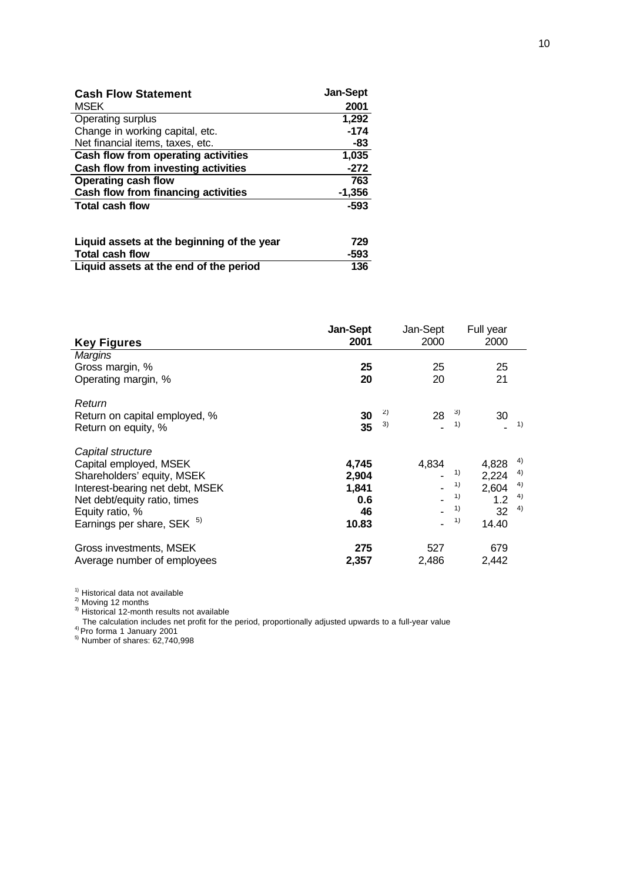| <b>Cash Flow Statement</b>          | <b>Jan-Sept</b> |
|-------------------------------------|-----------------|
| <b>MSEK</b>                         | 2001            |
| Operating surplus                   | 1,292           |
| Change in working capital, etc.     | $-174$          |
| Net financial items, taxes, etc.    | -83             |
| Cash flow from operating activities | 1,035           |
| Cash flow from investing activities | $-272$          |
| <b>Operating cash flow</b>          | 763             |
| Cash flow from financing activities | $-1,356$        |
| <b>Total cash flow</b>              | $-593$          |
|                                     |                 |

| Liquid assets at the beginning of the year | 729  |
|--------------------------------------------|------|
| <b>Total cash flow</b>                     | -593 |
| Liquid assets at the end of the period     | 136  |

| <b>Key Figures</b>                                                                                                                                                                            | Jan-Sept<br>2001                              |          | Jan-Sept<br>2000 |                            | Full year<br>2000                             |                            |
|-----------------------------------------------------------------------------------------------------------------------------------------------------------------------------------------------|-----------------------------------------------|----------|------------------|----------------------------|-----------------------------------------------|----------------------------|
| Margins<br>Gross margin, %<br>Operating margin, %                                                                                                                                             | 25<br>20                                      |          | 25<br>20         |                            | 25<br>21                                      |                            |
| Return<br>Return on capital employed, %<br>Return on equity, %                                                                                                                                | 30<br>35                                      | 2)<br>3) | 28               | 3)<br>1)                   | 30                                            | 1)                         |
| Capital structure<br>Capital employed, MSEK<br>Shareholders' equity, MSEK<br>Interest-bearing net debt, MSEK<br>Net debt/equity ratio, times<br>Equity ratio, %<br>Earnings per share, SEK 5) | 4,745<br>2,904<br>1,841<br>0.6<br>46<br>10.83 |          | 4,834            | 1)<br>1)<br>1)<br>1)<br>1) | 4,828<br>2,224<br>2,604<br>1.2<br>32<br>14.40 | 4)<br>4)<br>4)<br>4)<br>4) |
| Gross investments, MSEK<br>Average number of employees                                                                                                                                        | 275<br>2,357                                  |          | 527<br>2,486     |                            | 679<br>2.442                                  |                            |

<sup>1)</sup> Historical data not available

 $^{2)}$  Moving 12 months

<sup>3)</sup> Historical 12-month results not available

The calculation includes net profit for the period, proportionally adjusted upwards to a full-year value<br><sup>4)</sup> Pro forma 1 January 2001

5) Number of shares: 62,740,998